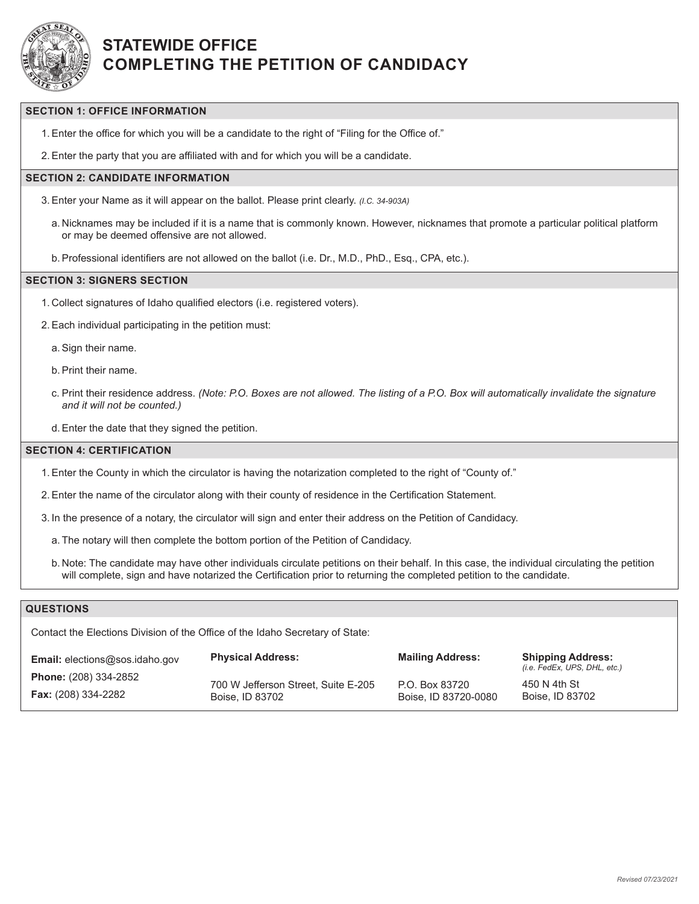

# **STATEWIDE OFFICE COMPLETING THE PETITION OF CANDIDACY**

### **SECTION 1: OFFICE INFORMATION**

1.Enter the office for which you will be a candidate to the right of "Filing for the Office of."

2.Enter the party that you are affiliated with and for which you will be a candidate.

### **SECTION 2: CANDIDATE INFORMATION**

- 3.Enter your Name as it will appear on the ballot. Please print clearly. *(I.C. 34-903A)*
	- a. Nicknames may be included if it is a name that is commonly known. However, nicknames that promote a particular political platform or may be deemed offensive are not allowed.
	- b.Professional identifiers are not allowed on the ballot (i.e. Dr., M.D., PhD., Esq., CPA, etc.).

#### **SECTION 3: SIGNERS SECTION**

- 1. Collect signatures of Idaho qualified electors (i.e. registered voters).
- 2.Each individual participating in the petition must:
	- a.Sign their name.
	- b.Print their name.
	- c. Print their residence address. *(Note: P.O. Boxes are not allowed. The listing of a P.O. Box will automatically invalidate the signature and it will not be counted.)*
	- d.Enter the date that they signed the petition.

#### **SECTION 4: CERTIFICATION**

- 1.Enter the County in which the circulator is having the notarization completed to the right of "County of."
- 2.Enter the name of the circulator along with their county of residence in the Certification Statement.
- 3. In the presence of a notary, the circulator will sign and enter their address on the Petition of Candidacy.
	- a. The notary will then complete the bottom portion of the Petition of Candidacy.
	- b. Note: The candidate may have other individuals circulate petitions on their behalf. In this case, the individual circulating the petition will complete, sign and have notarized the Certification prior to returning the completed petition to the candidate.

### **QUESTIONS**

Contact the Elections Division of the Office of the Idaho Secretary of State:

| <b>Email:</b> elections@sos.idaho.gov | <b>Physical Address:</b>            | <b>Mailing Address:</b> | <b>Shipping Address:</b><br>(i.e. FedEx, UPS, DHL, etc.) |  |
|---------------------------------------|-------------------------------------|-------------------------|----------------------------------------------------------|--|
| <b>Phone:</b> (208) 334-2852          | 700 W Jefferson Street, Suite E-205 | P.O. Box 83720          | 450 N 4th St                                             |  |
| <b>Fax:</b> (208) 334-2282            | Boise, ID 83702                     | Boise, ID 83720-0080    | Boise, ID 83702                                          |  |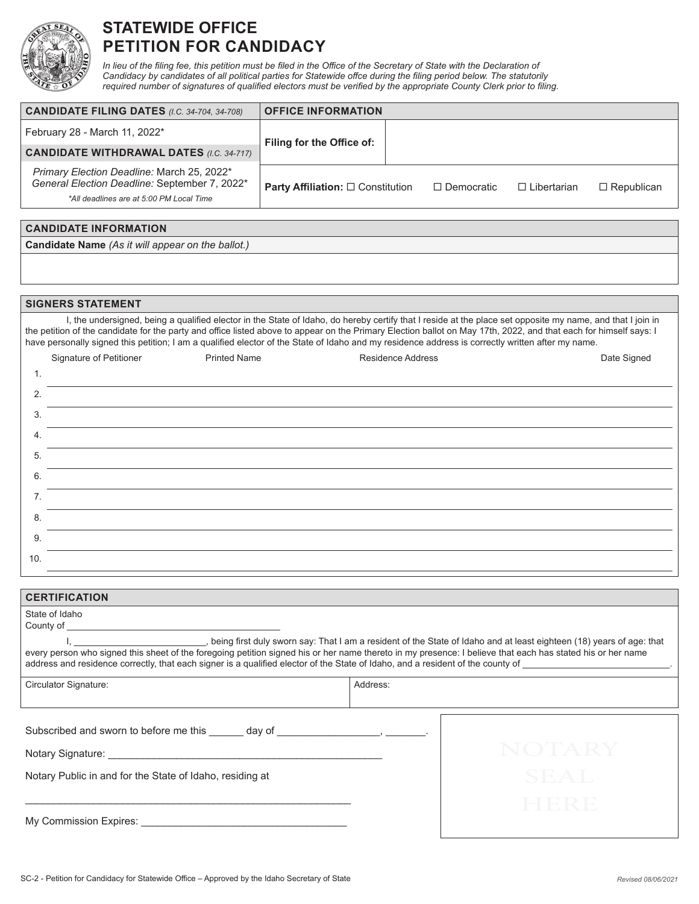

# **STATEWIDE OFFICE PETITION FOR CANDIDACY**

In lieu of the filing fee, this petition must be filed in the Office of the Secretary of State with the Declaration of *Candidacy by candidates of all political parties for Statewide offce during the filing period below. The statutorily required number of signatures of qualified electors must be verified by the appropriate County Clerk prior to filing.*

| <b>CANDIDATE FILING DATES (I.C. 34-704, 34-708)</b>                                                                                     | <b>OFFICE INFORMATION</b>                     |  |                   |                    |                   |
|-----------------------------------------------------------------------------------------------------------------------------------------|-----------------------------------------------|--|-------------------|--------------------|-------------------|
| February 28 - March 11, 2022*                                                                                                           | Filing for the Office of:                     |  |                   |                    |                   |
| <b>CANDIDATE WITHDRAWAL DATES (I.C. 34-717)</b>                                                                                         |                                               |  |                   |                    |                   |
| Primary Election Deadline: March 25, 2022*<br>General Election Deadline: September 7, 2022*<br>*All deadlines are at 5:00 PM Local Time | <b>Party Affiliation:</b> $\Box$ Constitution |  | $\Box$ Democratic | $\Box$ Libertarian | $\Box$ Republican |

### **CANDIDATE INFORMATION Candidate Name** *(As it will appear on the ballot.)*

#### **SIGNERS STATEMENT**

I, the undersigned, being a qualified elector in the State of Idaho, do hereby certify that I reside at the place set opposite my name, and that I join in the petition of the candidate for the party and office listed above to appear on the Primary Election ballot on May 17th, 2022, and that each for himself says: I have personally signed this petition; I am a qualified elector of the State of Idaho and my residence address is correctly written after my name.

|     | Signature of Petitioner | <b>Printed Name</b> | <b>Residence Address</b> | Date Signed |
|-----|-------------------------|---------------------|--------------------------|-------------|
| 1.  |                         |                     |                          |             |
| 2.  |                         |                     |                          |             |
| 3.  |                         |                     |                          |             |
| 4.  |                         |                     |                          |             |
| 5.  |                         |                     |                          |             |
| 6.  |                         |                     |                          |             |
| 7.  |                         |                     |                          |             |
| 8.  |                         |                     |                          |             |
| 9.  |                         |                     |                          |             |
| 10. |                         |                     |                          |             |

| <b>CERTIFICATION</b>                                                                                                                                                                                                                                                                                                                                                                                                     |          |  |  |
|--------------------------------------------------------------------------------------------------------------------------------------------------------------------------------------------------------------------------------------------------------------------------------------------------------------------------------------------------------------------------------------------------------------------------|----------|--|--|
| State of Idaho                                                                                                                                                                                                                                                                                                                                                                                                           |          |  |  |
| l, seing first duly sworn say: That I am a resident of the State of Idaho and at least eighteen (18) years of age: that<br>every person who signed this sheet of the foregoing petition signed his or her name thereto in my presence: I believe that each has stated his or her name<br>address and residence correctly, that each signer is a qualified elector of the State of Idaho, and a resident of the county of |          |  |  |
| Circulator Signature:                                                                                                                                                                                                                                                                                                                                                                                                    | Address: |  |  |
|                                                                                                                                                                                                                                                                                                                                                                                                                          |          |  |  |
|                                                                                                                                                                                                                                                                                                                                                                                                                          |          |  |  |
| Notary Public in and for the State of Idaho, residing at                                                                                                                                                                                                                                                                                                                                                                 |          |  |  |
|                                                                                                                                                                                                                                                                                                                                                                                                                          |          |  |  |
| My Commission Expires:                                                                                                                                                                                                                                                                                                                                                                                                   |          |  |  |